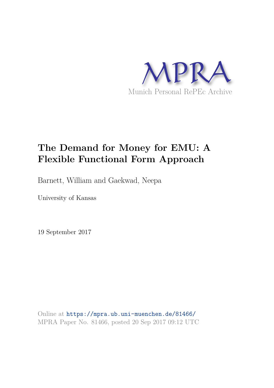

# **The Demand for Money for EMU: A Flexible Functional Form Approach**

Barnett, William and Gaekwad, Neepa

University of Kansas

19 September 2017

Online at https://mpra.ub.uni-muenchen.de/81466/ MPRA Paper No. 81466, posted 20 Sep 2017 09:12 UTC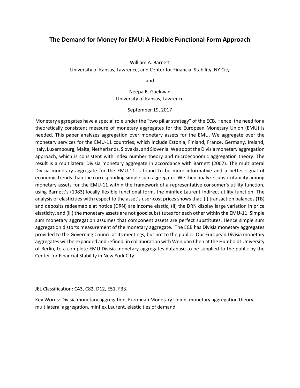# **The Demand for Money for EMU: A Flexible Functional Form Approach**

William A. Barnett University of Kansas, Lawrence, and Center for Financial Stability, NY City

and

Neepa B. Gaekwad University of Kansas, Lawrence

September 19, 2017

Monetary aggregates have a special role under the "two pillar strategy" of the ECB. Hence, the need for a theoretically consistent measure of monetary aggregates for the European Monetary Union (EMU) is needed. This paper analyzes aggregation over monetary assets for the EMU. We aggregate over the monetary services for the EMU-11 countries, which include Estonia, Finland, France, Germany, Ireland, Italy, Luxembourg, Malta, Netherlands, Slovakia, and Slovenia. We adopt the Divisia monetary aggregation approach, which is consistent with index number theory and microeconomic aggregation theory. The result is a multilateral Divisia monetary aggregate in accordance with Barnett (2007). The multilateral Divisia monetary aggregate for the EMU-11 is found to be more informative and a better signal of economic trends than the corresponding simple sum aggregate. We then analyze substitutability among monetary assets for the EMU-11 within the framework of a representative consumer's utility function, using Barnett's (1983) locally flexible functional form, the minflex Laurent Indirect utility function. The analysis of elasticities with respect to the asset's user-cost prices shows that: (i) transaction balances (TB) and deposits redeemable at notice (DRN) are income elastic, (ii) the DRN display large variation in price elasticity, and (iii) the monetary assets are not good substitutes for each other within the EMU-11. Simple sum monetary aggregation assumes that component assets are perfect substitutes. Hence simple sum aggregation distorts measurement of the monetary aggregate. The ECB has Divisia monetary aggregates provided to the Governing Council at its meetings, but not to the public. Our European Divisia monetary aggregates will be expanded and refined, in collaboration with Wenjuan Chen at the Humboldt University of Berlin, to a complete EMU Divisia monetary aggregates database to be supplied to the public by the Center for Financial Stability in New York City.

JEL Classification: C43, C82, D12, E51, F33.

Key Words: Divisia monetary aggregation, European Monetary Union, monetary aggregation theory, multilateral aggregation, minflex Laurent, elasticities of demand.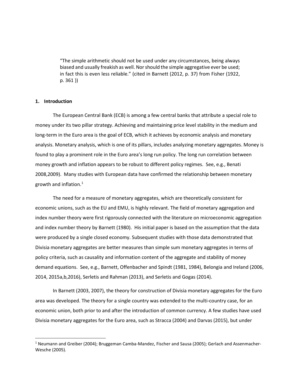"The simple arithmetic should not be used under any circumstances, being always biased and usually freakish as well. Nor should the simple aggregative ever be used; in fact this is even less reliable." (cited in Barnett (2012, p. 37) from Fisher (1922, p. 361 ))

# **1. Introduction**

 $\overline{\phantom{0}}$ 

The European Central Bank (ECB) is among a few central banks that attribute a special role to money under its two pillar strategy. Achieving and maintaining price level stability in the medium and long-term in the Euro area is the goal of ECB, which it achieves by economic analysis and monetary analysis. Monetary analysis, which is one of its pillars, includes analyzing monetary aggregates. Money is found to play a prominent role in the Euro area's long run policy. The long run correlation between money growth and inflation appears to be robust to different policy regimes. See, e.g., Benati 2008,2009). Many studies with European data have confirmed the relationship between monetary growth and inflation. [1](#page-2-0)

The need for a measure of monetary aggregates, which are theoretically consistent for economic unions, such as the EU and EMU, is highly relevant. The field of monetary aggregation and index number theory were first rigorously connected with the literature on microeconomic aggregation and index number theory by Barnett (1980). His initial paper is based on the assumption that the data were produced by a single closed economy. Subsequent studies with those data demonstrated that Divisia monetary aggregates are better measures than simple sum monetary aggregates in terms of policy criteria, such as causality and information content of the aggregate and stability of money demand equations. See, e.g., Barnett, Offenbacher and Spindt (1981, 1984), Belongia and Ireland (2006, 2014, 2015a,b,2016), Serletis and Rahman (2013), and Serletis and Gogas (2014).

In Barnett (2003, 2007), the theory for construction of Divisia monetary aggregates for the Euro area was developed. The theory for a single country was extended to the multi-country case, for an economic union, both prior to and after the introduction of common currency. A few studies have used Divisia monetary aggregates for the Euro area, such as Stracca (2004) and Darvas (2015), but under

<span id="page-2-0"></span><sup>1</sup> Neumann and Greiber (2004); Bruggeman Camba-Mandez, Fischer and Sausa (2005); Gerlach and Assenmacher-Wesche (2005).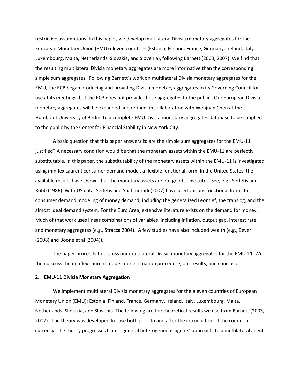restrictive assumptions. In this paper, we develop multilateral Divisia monetary aggregates for the European Monetary Union (EMU) eleven countries (Estonia, Finland, France, Germany, Ireland, Italy, Luxembourg, Malta, Netherlands, Slovakia, and Slovenia), following Barnett (2003, 2007). We find that the resulting multilateral Divisia monetary aggregates are more informative than the corresponding simple sum aggregates. Following Barnett's work on multilateral Divisia monetary aggregates for the EMU, the ECB began producing and providing Divisia monetary aggregates to its Governing Council for use at its meetings, but the ECB does not provide those aggregates to the public. Our European Divisia monetary aggregates will be expanded and refined, in collaboration with Wenjuan Chen at the Humboldt University of Berlin, to a complete EMU Divisia monetary aggregates database to be supplied to the public by the Center for Financial Stability in New York City.

A basic question that this paper answers is: are the simple sum aggregates for the EMU-11 justified? A necessary condition would be that the monetary assets within the EMU-11 are perfectly substitutable. In this paper, the substitutability of the monetary assets within the EMU-11 is investigated using minflex Laurent consumer demand model, a flexible functional form. In the United States, the available results have shown that the monetary assets are not good substitutes. See, e.g., Serletis and Robb (1986). With US data, Serletis and Shahmoradi (2007) have used various functional forms for consumer demand modeling of money demand, including the generalized Leontief, the translog, and the almost Ideal demand system. For the Euro Area, extensive literature exists on the demand for money. Much of that work uses linear combinations of variables, including inflation, output gap, interest rate, and monetary aggregates (e.g., Stracca 2004). A few studies have also included wealth (e.g., Beyer (2008) and Boone et al (2004)).

The paper proceeds to discuss our multilateral Divisia monetary aggregates for the EMU-11. We then discuss the minflex Laurent model, our estimation procedure, our results, and conclusions.

### **2. EMU-11 Divisia Monetary Aggregation**

We implement multilateral Divisia monetary aggregates for the eleven countries of European Monetary Union (EMU): Estonia, Finland, France, Germany, Ireland, Italy, Luxembourg, Malta, Netherlands, Slovakia, and Slovenia. The following are the theoretical results we use from Barnett (2003, 2007). The theory was developed for use both prior to and after the introduction of the common currency. The theory progresses from a general heterogeneous agents' approach, to a multilateral agent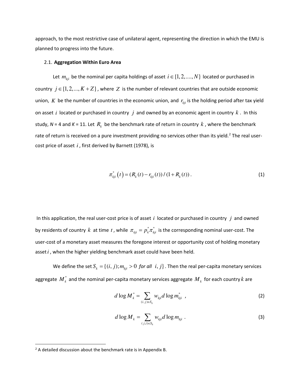approach, to the most restrictive case of unilateral agent, representing the direction in which the EMU is planned to progress into the future.

### 2.1. **Aggregation Within Euro Area**

Let  $m_{kji}$  be the nominal per capita holdings of asset  $i \in \{1, 2, ..., N\}$  located or purchased in country  $j \in \{1, 2, ..., K + Z\}$ , where Z is the number of relevant countries that are outside economic union, *K* be the number of countries in the economic union, and  $r_{kji}$  is the holding period after tax yield on asset *i* located or purchased in country *j* and owned by an economic agent in country *k* . In this study, N = 4 and K = 11. Let  $R_k$  be the benchmark rate of return in country  $k$  , where the benchmark rate of return is received on a pure investment providing no services other than its yield.<sup>[2](#page-4-0)</sup> The real usercost price of asset *i* , first derived by Barnett (1978), is

$$
\pi_{kji}^*(t) = (R_k(t) - r_{kji}(t)) / (1 + R_k(t)).
$$
\n(1)

In this application, the real user-cost price is of asset *i* located or purchased in country *j* and owned by residents of country  $k$  at time  $t$ , while  $\pi_{kji} = p_k^* \pi_{kji}^*$  is the corresponding nominal user-cost. The user-cost of a monetary asset measures the foregone interest or opportunity cost of holding monetary asset*i* , when the higher yielding benchmark asset could have been held.

We define the set  $S_k = \{(i, j); m_{kij} > 0 \text{ for all } i, j\}$ . Then the real per-capita monetary services aggregate  $\overline{M}_k^*$  and the nominal per-capita monetary services aggregate  $\overline{M}_k$  for each country  $k$  are

$$
d \log M_k^* = \sum_{(i,j)\in S_k} w_{kji} d \log m_{kji}^* \quad , \tag{2}
$$

$$
d \log M_k = \sum_{(j,i)\in S_k} w_{kji} d \log m_{kji} \tag{3}
$$

l

<span id="page-4-0"></span> $2A$  detailed discussion about the benchmark rate is in Appendix B.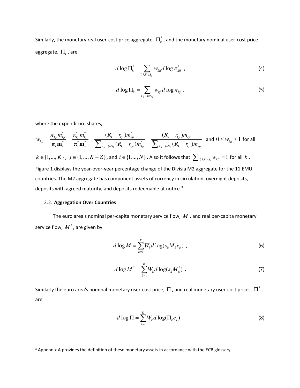Similarly, the monetary real user-cost price aggregate,  $\prod_k^*$ , and the monetary nominal user-cost price aggregate,  $\Pi_{\scriptscriptstyle k}$  , are

$$
d \log \Pi_k^* = \sum_{(j,i)\in S_k} w_{kji} d \log \pi_{kji}^* \tag{4}
$$

$$
d \log \Pi_k = \sum_{(j,i)\in S_k} w_{kji} d \log \pi_{kji}, \qquad (5)
$$

where the expenditure shares,

$$
w_{kji} = \frac{\pi_{kji} m_{kji}^*}{\pi_k \mathbf{m}_k^*} = \frac{\pi_{kji}^* m_{kji}^*}{\pi_k^* \mathbf{m}_k^*} = \frac{(R_k - r_{kji}) m_{kji}^*}{\sum_{(j,i) \in S_k} (R_k - r_{kji}) m_{kji}^*} = \frac{(R_k - r_{kji}) m_{kji}}{\sum_{(j,i) \in S_k} (R_k - r_{kji}) m_{kji}} \text{ and } 0 \le w_{kji} \le 1 \text{ for all } k \in \{1, ..., K\}
$$
,  $j \in \{1, ..., K + Z\}$ , and  $i \in \{1, ..., N\}$ . Also it follows that  $\sum_{(j,i) \in S_k} w_{kji} = 1$  for all  $k$ .  
Figure 1 displays the year-over-year percentage change of the Divisia M2 aggregate for the 11 EMU countries. The M2 aggregate has component assets of currency in circulation, overnight deposits, deposits with agreed maturity, and deposits redeemable at notice.<sup>3</sup>

# 2.2. **Aggregation Over Countries**

l

The euro area's nominal per-capita monetary service flow, *M* , and real per-capita monetary service flow*,*  $M^*$  *,* are given by

$$
d\log M = \sum_{k=1}^{K} W_k d\log(s_k M_k e_k) \tag{6}
$$

$$
d \log M^* = \sum_{k=1}^{K} W_k d \log(s_k M_k^*) \tag{7}
$$

Similarly the euro area's nominal monetary user-cost price,  $\Pi$  , and real monetary user-cost prices,  $\Pi^*$  , are

$$
d \log \Pi = \sum_{k=1}^{K} W_k d \log(\Pi_k e_k) , \qquad (8)
$$

<span id="page-5-0"></span><sup>&</sup>lt;sup>3</sup> Appendix A provides the definition of these monetary assets in accordance with the ECB glossary.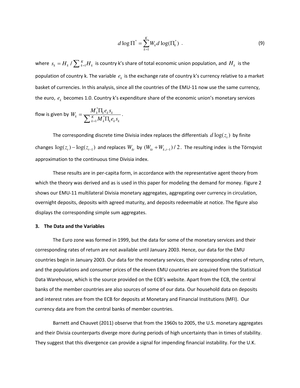$$
d \log \Pi^* = \sum_{k=1}^K W_k d \log(\Pi_k^*) \tag{9}
$$

where  $s_k = H_k$  /  $\sum_{k=1}^K H_k$  is country k's share of total economic union population, and  $H_k$  is the population of country k. The variable  $e_k$  is the exchange rate of country k's currency relative to a market basket of currencies. In this analysis, since all the countries of the EMU-11 now use the same currency, the euro,  $e_k$  becomes 1.0. Country k's expenditure share of the economic union's monetary services

flow is given by 
$$
W_k = \frac{M_k^* \Pi_k e_k s_k}{\sum_{k=1}^K M_k^* \Pi_k e_k s_k}
$$
.

The corresponding discrete time Divisia index replaces the differentials  $d \log (z_{t})$  by finite changes  $log(z_t) - log(z_{t-1})$  and replaces  $W_{kt}$  by  $(W_{kt} + W_{k,t-1})/2$ . The resulting index is the Törnqvist approximation to the continuous time Divisia index.

These results are in per-capita form, in accordance with the representative agent theory from which the theory was derived and as is used in this paper for modeling the demand for money. Figure 2 shows our EMU-11 multilateral Divisia monetary aggregates, aggregating over currency in circulation, overnight deposits, deposits with agreed maturity, and deposits redeemable at notice. The figure also displays the corresponding simple sum aggregates.

## **3. The Data and the Variables**

The Euro zone was formed in 1999, but the data for some of the monetary services and their corresponding rates of return are not available until January 2003. Hence, our data for the EMU countries begin in January 2003. Our data for the monetary services, their corresponding rates of return, and the populations and consumer prices of the eleven EMU countries are acquired from the Statistical Data Warehouse, which is the source provided on the ECB's website. Apart from the ECB, the central banks of the member countries are also sources of some of our data. Our household data on deposits and interest rates are from the ECB for deposits at Monetary and Financial Institutions (MFI). Our currency data are from the central banks of member countries.

Barnett and Chauvet (2011) observe that from the 1960s to 2005, the U.S. monetary aggregates and their Divisia counterparts diverge more during periods of high uncertainty than in times of stability. They suggest that this divergence can provide a signal for impending financial instability. For the U.K.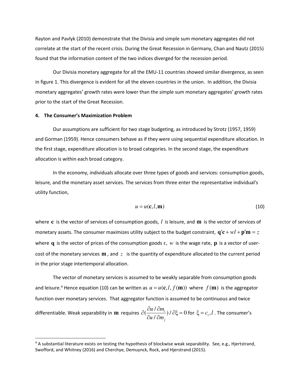Rayton and Pavlyk (2010) demonstrate that the Divisia and simple sum monetary aggregates did not correlate at the start of the recent crisis. During the Great Recession in Germany, Chan and Nautz (2015) found that the information content of the two indices diverged for the recession period.

Our Divisia monetary aggregate for all the EMU-11 countries showed similar divergence, as seen in figure 1. This divergence is evident for all the eleven countries in the union. In addition, the Divisia monetary aggregates' growth rates were lower than the simple sum monetary aggregates' growth rates prior to the start of the Great Recession.

## **4. The Consumer's Maximization Problem**

.<br>-

Our assumptions are sufficient for two stage budgeting, as introduced by Strotz (1957, 1959) and Gorman (1959). Hence consumers behave as if they were using sequential expenditure allocation. In the first stage, expenditure allocation is to broad categories. In the second stage, the expenditure allocation is within each broad category.

In the economy, individuals allocate over three types of goods and services: consumption goods, leisure, and the monetary asset services. The services from three enter the representative individual's utility function,

$$
u = u(\mathbf{c}, l, \mathbf{m})\tag{10}
$$

where **c** is the vector of services of consumption goods, *l* is leisure, and **m** is the vector of services of monetary assets. The consumer maximizes utility subject to the budget constraint,  $\mathbf{q'c} + w\mathbf{l} + \mathbf{p'm} = z$ where **q** is the vector of prices of the consumption goods  $c$ ,  $w$  is the wage rate, **p** is a vector of usercost of the monetary services **m** , and *z* is the quantity of expenditure allocated to the current period in the prior stage intertemporal allocation.

The vector of monetary services is assumed to be weakly separable from consumption goods and leisure.<sup>[4](#page-7-0)</sup> Hence equation (10) can be written as  $u = u(c, l, f(m))$  where  $f(m)$  is the aggregator function over monetary services. That aggregator function is assumed to be continuous and twice differentiable. Weak separability in **m** requires  $\partial(\frac{\partial u}{\partial m_i}, \partial \xi) = 0$ / *i j u m u m*  $\partial(\frac{\partial u}{\partial m_i})/\partial \xi =$ ∂ ∂ for  $\xi = c_i, l$  . The consumer's

<span id="page-7-0"></span><sup>4</sup> A substantial literature exists on testing the hypothesis of blockwise weak separability. See, e.g., Hjertstrand, Swofford, and Whitney (2016) and Cherchye, Demuynck, Rock, and Hjerstrand (2015).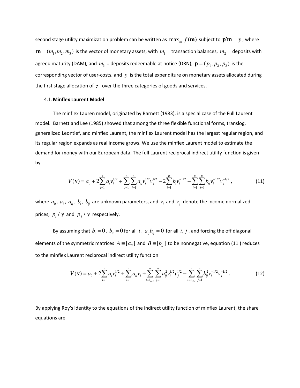second stage utility maximization problem can be written as  $\max_{\bf m} f({\bf m})$  subject to  ${\bf p}'{\bf m} = y$ , where  $\mathbf{m} = (m_1, m_2, m_3)$  is the vector of monetary assets, with  $m_1$  = transaction balances,  $m_2$  = deposits with agreed maturity (DAM), and  $m_3$  = deposits redeemable at notice (DRN);  $\mathbf{p} = (p_1, p_2, p_3)$  is the corresponding vector of user-costs, and *y* is the total expenditure on monetary assets allocated during the first stage allocation of *z* over the three categories of goods and services.

## 4.1.**Minflex Laurent Model**

The minflex Lauren model, originated by Barnett (1983), is a special case of the Full Laurent model. Barnett and Lee (1985) showed that among the three flexible functional forms, translog, generalized Leontief, and minflex Laurent, the minflex Laurent model has the largest regular region, and its regular region expands as real income grows. We use the minflex Laurent model to estimate the demand for money with our European data. The full Laurent reciprocal indirect utility function is given by

$$
V(\mathbf{v}) = a_0 + 2\sum_{i=1}^n a_i v_i^{1/2} + \sum_{i=1}^n \sum_{j=1}^n a_{ij} v_i^{1/2} v_j^{1/2} - 2\sum_{i=1}^n b_i v_i^{-1/2} - \sum_{i=1}^n \sum_{j=1}^n b_{ij} v_i^{-1/2} v_j^{-1/2},
$$
(11)

where  $a_0$ ,  $a_i$ ,  $a_{ij}$ ,  $b_i$ ,  $b_{ij}$  are unknown parameters, and  $v_i$  and  $v_j$  denote the income normalized prices,  $p_i / y$  and  $p_j / y$  respectively.

By assuming that  $b_i = 0$ ,  $b_{ii} = 0$  for all *i*,  $a_{ij}b_{ij} = 0$  for all *i*, *j*, and forcing the off diagonal elements of the symmetric matrices  $A = [ a_{ij} ]$  and  $B = [ b_{ij} ]$  to be nonnegative, equation (11) reduces to the minflex Laurent reciprocal indirect utility function

$$
V(\mathbf{v}) = a_0 + 2\sum_{i=1}^n a_i v_i^{1/2} + \sum_{i=1}^n a_{ii} v_i + \sum_{i=1,\dots,j}^n \sum_{j=1}^n a_{ij}^2 v_i^{1/2} v_j^{1/2} - \sum_{i=1,\dots,j}^n \sum_{j=1}^n b_{ij}^2 v_i^{-1/2} v_j^{-1/2}.
$$
 (12)

By applying Roy's identity to the equations of the indirect utility function of minflex Laurent, the share equations are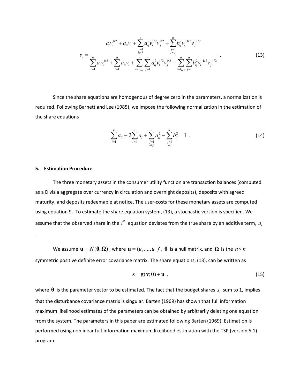$$
s_{i} = \frac{a_{i}v_{i}^{1/2} + a_{ii}v_{i} + \sum_{\substack{j=1 \ i \neq j}}^{n} a_{ij}^{2}v_{i}^{1/2}v_{j}^{1/2} + \sum_{\substack{j=1 \ i \neq j}}^{n} b_{ij}^{2}v_{i}^{-1/2}v_{j}^{-1/2}}{\sum_{i=1}^{n} a_{i}v_{i}^{1/2} + \sum_{i=1}^{n} a_{ii}v_{i} + \sum_{i=1 \atop i \neq j}^{n} \sum_{j=1}^{n} a_{ij}^{2}v_{i}^{1/2}v_{j}^{1/2} + \sum_{i=1 \atop i \neq j}^{n} \sum_{j=1}^{n} b_{ij}^{2}v_{i}^{-1/2}v_{j}^{-1/2}} \tag{13}
$$

Since the share equations are homogenous of degree zero in the parameters, a normalization is required. Following Barnett and Lee (1985), we impose the following normalization in the estimation of the share equations

$$
\sum_{i=1}^{n} a_{ii} + 2\sum_{i=1}^{n} a_i + \sum_{\substack{j=1 \ i \neq j}}^{n} a_{ij}^2 - \sum_{\substack{j=1 \ i \neq j}}^{n} b_{ij}^2 = 1.
$$
 (14)

## **5. Estimation Procedure**

.

The three monetary assets in the consumer utility function are transaction balances (computed as a Divisia aggregate over currency in circulation and overnight deposits), deposits with agreed maturity, and deposits redeemable at notice. The user-costs for these monetary assets are computed using equation 9. To estimate the share equation system, (13), a stochastic version is specified. We assume that the observed share in the  $i^{th}$  equation deviates from the true share by an additive term,  $u_i$ 

We assume  $\mathbf{u} \sim N(\mathbf{0}, \mathbf{\Omega})$  , where  $\mathbf{u} = (u_1, ..., u_n)'$  ,  $\mathbf{0}$  is a null matrix, and  $\mathbf{\Omega}$  is the  $n \times n$ symmetric positive definite error covariance matrix. The share equations, (13), can be written as

$$
\mathbf{s} = \mathbf{g}(\mathbf{v}; \boldsymbol{\theta}) + \mathbf{u} \tag{15}
$$

where  $\bm{\theta}$  is the parameter vector to be estimated. The fact that the budget shares  $s_i$  sum to 1, implies that the disturbance covariance matrix is singular. Barten (1969) has shown that full information maximum likelihood estimates of the parameters can be obtained by arbitrarily deleting one equation from the system. The parameters in this paper are estimated following Barten (1969). Estimation is performed using nonlinear full-information maximum likelihood estimation with the TSP (version 5.1) program.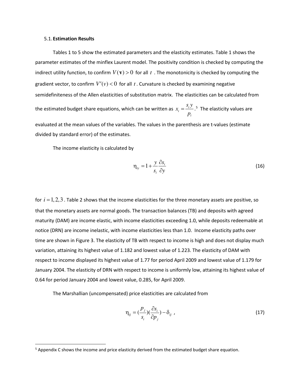#### 5.1.**Estimation Results**

l

Tables 1 to 5 show the estimated parameters and the elasticity estimates. Table 1 shows the parameter estimates of the minflex Laurent model. The positivity condition is checked by computing the indirect utility function, to confirm  $V(\mathbf{v}) > 0$  for all t. The monotonicity is checked by computing the gradient vector, to confirm  $V'(v) < 0$  for all t. Curvature is checked by examining negative semidefiniteness of the Allen elasticities of substitution matrix. The elasticities can be calculated from the estimated budget share equations, which can be written as  $x_i = \frac{3i}{2}$ *i*  $x_i = \frac{s_i y}{ }$ *p*  $=\frac{S_i y}{s}$ .<sup>[5](#page-10-0)</sup> The elasticity values are evaluated at the mean values of the variables. The values in the parenthesis are t-values (estimate divided by standard error) of the estimates.

The income elasticity is calculated by

$$
\eta_{iy} = 1 + \frac{y}{s_i} \frac{\partial s_i}{\partial y} \tag{16}
$$

for  $i = 1, 2, 3$ . Table 2 shows that the income elasticities for the three monetary assets are positive, so that the monetary assets are normal goods. The transaction balances (TB) and deposits with agreed maturity (DAM) are income elastic, with income elasticities exceeding 1.0, while deposits redeemable at notice (DRN) are income inelastic, with income elasticities less than 1.0. Income elasticity paths over time are shown in Figure 3. The elasticity of TB with respect to income is high and does not display much variation, attaining its highest value of 1.182 and lowest value of 1.223. The elasticity of DAM with respect to income displayed its highest value of 1.77 for period April 2009 and lowest value of 1.179 for January 2004. The elasticity of DRN with respect to income is uniformly low, attaining its highest value of 0.64 for period January 2004 and lowest value, 0.285, for April 2009.

The Marshallian (uncompensated) price elasticities are calculated from

$$
\eta_{ij} = \left(\frac{p_j}{s_i}\right)\left(\frac{\partial s_i}{\partial p_j}\right) - \delta_{ij} \tag{17}
$$

<span id="page-10-0"></span><sup>&</sup>lt;sup>5</sup> Appendix C shows the income and price elasticity derived from the estimated budget share equation.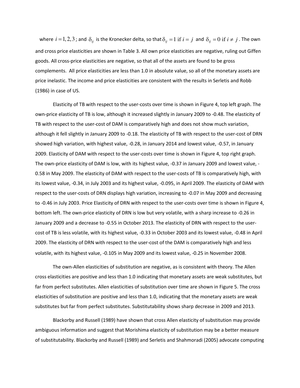where  $i = 1, 2, 3$ ; and  $\delta_{ij}$  is the Kronecker delta, so that  $\delta_{ij} = 1$  if  $i = j$  and  $\delta_{ij} = 0$  if  $i \neq j$ . The own and cross price elasticities are shown in Table 3. All own price elasticities are negative, ruling out Giffen goods. All cross-price elasticities are negative, so that all of the assets are found to be gross complements. All price elasticities are less than 1.0 in absolute value, so all of the monetary assets are price inelastic. The income and price elasticities are consistent with the results in Serletis and Robb (1986) in case of US.

Elasticity of TB with respect to the user-costs over time is shown in Figure 4, top left graph. The own-price elasticity of TB is low, although it increased slightly in January 2009 to -0.48. The elasticity of TB with respect to the user-cost of DAM is comparatively high and does not show much variation, although it fell slightly in January 2009 to -0.18. The elasticity of TB with respect to the user-cost of DRN showed high variation, with highest value, -0.28, in January 2014 and lowest value, -0.57, in January 2009. Elasticity of DAM with respect to the user-costs over time is shown in Figure 4, top right graph. The own-price elasticity of DAM is low, with its highest value, -0.37 in January 2009 and lowest value, - 0.58 in May 2009. The elasticity of DAM with respect to the user-costs of TB is comparatively high, with its lowest value, -0.34, in July 2003 and its highest value, -0.095, in April 2009. The elasticity of DAM with respect to the user-costs of DRN displays high variation, increasing to -0.07 in May 2009 and decreasing to -0.46 in July 2003. Price Elasticity of DRN with respect to the user-costs over time is shown in Figure 4, bottom left. The own-price elasticity of DRN is low but very volatile, with a sharp increase to -0.26 in January 2009 and a decrease to -0.55 in October 2013. The elasticity of DRN with respect to the usercost of TB is less volatile, with its highest value, -0.33 in October 2003 and its lowest value, -0.48 in April 2009. The elasticity of DRN with respect to the user-cost of the DAM is comparatively high and less volatile, with its highest value, -0.105 in May 2009 and its lowest value, -0.25 in November 2008.

The own-Allen elasticities of substitution are negative, as is consistent with theory. The Allen cross elasticities are positive and less than 1.0 indicating that monetary assets are weak substitutes, but far from perfect substitutes. Allen elasticities of substitution over time are shown in Figure 5. The cross elasticities of substitution are positive and less than 1.0, indicating that the monetary assets are weak substitutes but far from perfect substitutes. Substitutability shows sharp decrease in 2009 and 2013.

Blackorby and Russell (1989) have shown that cross Allen elasticity of substitution may provide ambiguous information and suggest that Morishima elasticity of substitution may be a better measure of substitutability. Blackorby and Russell (1989) and Serletis and Shahmoradi (2005) advocate computing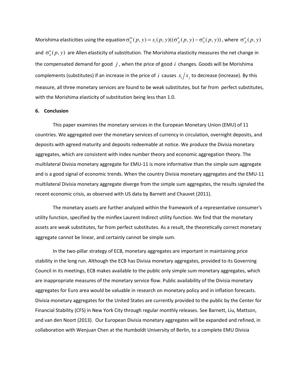Morishima elasticities using the equation  $\sigma_{ij}^m(p, y) = s_i(p, y)((\sigma_{ji}^a(p, y) - \sigma_{ii}^a(p, y))$ , where  $\sigma_{ji}^a(p, y)$ and  $\sigma_{ii}^a(p,y)$  are Allen elasticity of substitution. The Morishima elasticity measures the net change in the compensated demand for good *j* , when the price of good *i* changes. Goods will be Morishima complements (substitutes) if an increase in the price of *i* causes  $x_i/x_j$  to decrease (increase). By this measure, all three monetary services are found to be weak substitutes, but far from perfect substitutes, with the Morishima elasticity of substitution being less than 1.0.

## **6. Conclusion**

This paper examines the monetary services in the European Monetary Union (EMU) of 11 countries. We aggregated over the monetary services of currency in circulation, overnight deposits, and deposits with agreed maturity and deposits redeemable at notice. We produce the Divisia monetary aggregates, which are consistent with index number theory and economic aggregation theory. The multilateral Divisia monetary aggregate for EMU-11 is more informative than the simple sum aggregate and is a good signal of economic trends. When the country Divisia monetary aggregates and the EMU-11 multilateral Divisia monetary aggregate diverge from the simple sum aggregates, the results signaled the recent economic crisis, as observed with US data by Barnett and Chauvet (2011).

The monetary assets are further analyzed within the framework of a representative consumer's utility function, specified by the minflex Laurent Indirect utility function. We find that the monetary assets are weak substitutes, far from perfect substitutes. As a result, the theoretically correct monetary aggregate cannot be linear, and certainly cannot be simple sum.

In the two-pillar strategy of ECB, monetary aggregates are important in maintaining price stability in the long run. Although the ECB has Divisia monetary aggregates, provided to its Governing Council in its meetings, ECB makes available to the public only simple sum monetary aggregates, which are inappropriate measures of the monetary service flow. Public availability of the Divisia monetary aggregates for Euro area would be valuable in research on monetary policy and in inflation forecasts. Divisia monetary aggregates for the United States are currently provided to the public by the Center for Financial Stability (CFS) in New York City through regular monthly releases. See Barnett, Liu, Mattson, and van den Noort (2013). Our European Divisia monetary aggregates will be expanded and refined, in collaboration with Wenjuan Chen at the Humboldt University of Berlin, to a complete EMU Divisia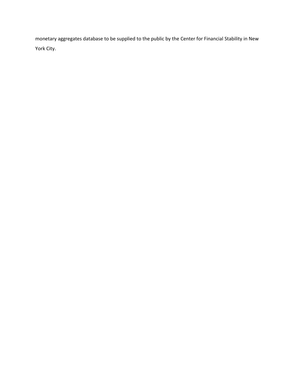monetary aggregates database to be supplied to the public by the Center for Financial Stability in New York City.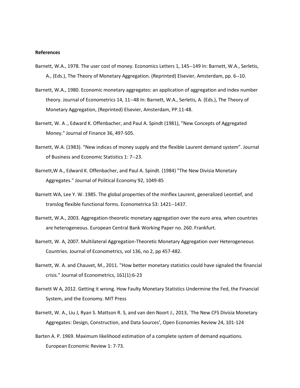#### **References**

- Barnett, W.A., 1978. The user cost of money. Economics Letters 1, 145--149 In: Barnett, W.A., Serletis, A., (Eds.), The Theory of Monetary Aggregation. (Reprinted) Elsevier, Amsterdam, pp. 6--10.
- Barnett, W.A., 1980. Economic monetary aggregates: an application of aggregation and index number theory. Journal of Econometrics 14, 11--48 In: Barnett, W.A., Serletis, A. (Eds.), The Theory of Monetary Aggregation, (Reprinted) Elsevier, Amsterdam, PP.11-48.
- Barnett, W. A ., Edward K. Offenbacher, and Paul A. Spindt (1981), "New Concepts of Aggregated Money." Journal of Finance 36, 497-505.
- Barnett, W.A. (1983). "New indices of money supply and the flexible Laurent demand system". Journal of Business and Economic Statistics 1: 7--23.
- Barnett,W A., Edward K. Offenbacher, and Paul A. Spindt. (1984) "The New Divisia Monetary Aggregates." Journal of Political Economy 92, 1049-85
- Barnett WA, Lee Y. W. 1985. The global properties of the minflex Laurent, generalized Leontief, and translog flexible functional forms. Econometrica 53: 1421--1437.
- Barnett, W.A., 2003. Aggregation-theoretic monetary aggregation over the euro area, when countries are heterogeneous. European Central Bank Working Paper no. 260. Frankfurt.
- Barnett, W. A, 2007. Multilateral Aggregation-Theoretic Monetary Aggregation over Heterogeneous Countries. Journal of Econometrics, vol 136, no 2, pp 457-482.
- Barnett, W. A. and Chauvet, M., 2011. "How better monetary statistics could have signaled the financial crisis." Journal of Econometrics, 161(1):6-23
- Barnett W A, 2012. Getting it wrong. How Faulty Monetary Statistics Undermine the Fed, the Financial System, and the Economy. MIT Press
- Barnett, W. A., Liu J, Ryan S. Mattson R. S, and van den Noort J., 2013, `The New CFS Divisia Monetary Aggregates: Design, Construction, and Data Sources', Open Economies Review 24, 101-124
- Barten A. P. 1969. Maximum likelihood estimation of a complete system of demand equations. European Economic Review 1: 7-73.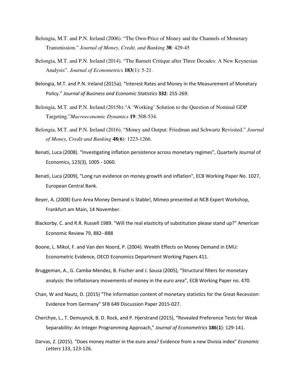- Belongia, M.T. and P.N. Ireland (2006). "The Own-Price of Money and the Channels of Monetary Transmission." *Journal of Money, Credit, and Banking* **38**: 429-45
- Belongia, M.T. and P.N. Ireland (2014). "The Barnett Critique after Three Decades: A New Keynesian Analysis". *Journal of Econometrics* **183**(1): 5-21.
- Belongia, M.T. and P.N. Ireland (2015a). "Interest Rates and Money in the Measurement of Monetary Policy." *Journal of Business and Economic Statistics* **332**: 255-269.
- Belongia, M.T. and P.N. Ireland (2015b)."A 'Working' Solution to the Question of Nominal GDP Targeting."*Macroeconomic Dynamics* **19**: 508-534.
- Belongia, M.T. and P.N. Ireland (2016). "Money and Output: Friedman and Schwartz Revisited." *Journal of Money, Credit and Banking* **48**(**6**): 1223-1266.
- Benati, Luca (2008). "Investigating inflation persistence across monetary regimes", Quarterly Journal of Economics, 123(3), 1005 - 1060.
- Benati, Luca (2009), "Long run evidence on money growth and inflation", ECB Working Paper No. 1027, European Central Bank.
- Beyer, A. (2008) Euro Area Money Demand is Stable!, Mimeo presented at NCB Expert Workshop, Frankfurt am Main, 14 November.
- Blackorby, C. and R.R. Russell 1989. "Will the real elasticity of substitution please stand up?" American Economic Review 79, 882--888
- Boone, L. Mikol, F. and Van den Noord, P. (2004). Wealth Effects on Money Demand in EMU: Econometric Evidence, OECD Economics Department Working Papers 411.
- Bruggeman, A., G. Camba-Mendez, B. Fischer and J. Sousa (2005), "Structural filters for monetary analysis: the inflationary movements of money in the euro area", ECB Working Paper no. 470.
- Chan, W and Nautz, D. (2015) "The information content of monetary statistics for the Great Recession: Evidence from Germany" SFB 649 Discussion Paper 2015-027.
- Cherchye, L., T. Demuynck, B. D. Rock, and P. Hjerstrand (2015), "Revealed Preference Tests for Weak Separability: An Integer Programming Approach," *Journal of Econometrics* **186**(**1**): 129-141.
- Darvas, Z. (2015). "Does money matter in the euro area? Evidence from a new Divisia index" *Economic Letters* 133, 123-126.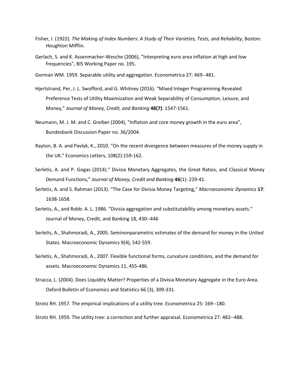- Fisher, I. (1922). *The Making of Index Numbers: A Study of Their Varieties, Tests, and Reliability*, Boston: Houghton Mifflin.
- Gerlach, S. and K. Assenmacher-Wesche (2006), "Interpreting euro area inflation at high and low frequencies", BIS Working Paper no. 195.
- Gorman WM. 1959. Separable utility and aggregation. Econometrica 27: 469--481.
- Hjertstrand, Per, J. L. Swofford, and G. Whitney (2016). "Mixed Integer Programming Revealed Preference Tests of Utility Maximization and Weak Separability of Consumption, Leisure, and Money," *Journal of Money, Credit, and Banking* **48(7)**: 1547-1561.
- Neumann, M. J. M. and C. Greiber (2004), "Inflation and core money growth in the euro area", Bundesbank Discussion Paper no. 36/2004.
- Rayton, B. A. and Pavlyk, K., 2010. "On the recent divergence between measures of the money supply in the UK." Economics Letters, 108(2):159-162.
- Serletis, A. and P. Gogas (2014)." Divisia Monetary Aggregates, the Great Ratios, and Classical Money Demand Functions," *Journal of Money, Credit and Banking* **46**(1): 229-41.
- Serletis, A. and S. Rahman (2013). "The Case for Divisia Money Targeting," *Macroeconomic Dynamics* **17**: 1638-1658.
- Serletis, A., and Robb. A. L. 1986. "Divisia aggregation and substitutability among monetary assets." Journal of Money, Credit, and Banking 18, 430--446
- Serletis, A., Shahmoradi, A., 2005. Seminonparametric estimates of the demand for money in the United States. Macroeconomic Dynamics 9(4), 542-559.
- Serletis, A., Shahmoradi, A., 2007. Flexible functional forms, curvature conditions, and the demand for assets. Macroeconomic Dynamics 11, 455-486.
- Stracca, L. (2004). Does Liquidity Matter? Properties of a Divisia Monetary Aggregate in the Euro Area. Oxford Bulletin of Economics and Statistics 66 (3), 309-331.

Strotz RH. 1957. The empirical implications of a utility tree. Econometrica 25: 169--180.

Strotz RH. 1959. The utility tree: a correction and further appraisal. Econometrica 27: 482--488.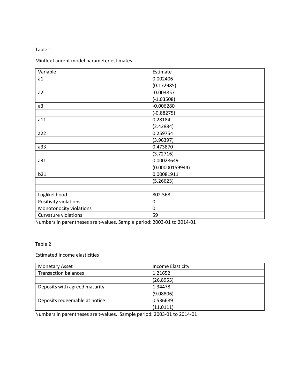# Table 1

Minflex Laurent model parameter estimates.

| Variable                    | Estimate        |
|-----------------------------|-----------------|
| a1                          | 0.002406        |
|                             | (0.172985)      |
| a2                          | $-0.003857$     |
|                             | $(-1.03508)$    |
| a3                          | $-0.006280$     |
|                             | $(-0.88275)$    |
| a11                         | 0.28184         |
|                             | (2.42884)       |
| a22                         | 0.259754        |
|                             | (3.96397)       |
| a33                         | 0.473870        |
|                             | (3.72716)       |
| a31                         | 0.00028649      |
|                             | (0.00000159944) |
| b21                         | 0.00081911      |
|                             | (5.26623)       |
|                             |                 |
| Loglikelihood               | 802.568         |
| Positivity violations       | 0               |
| Monotonocity violations     | $\mathbf 0$     |
| <b>Curvature violations</b> | 59              |

Numbers in parentheses are t-values. Sample period: 2003-01 to 2014-01

# Table 2

Estimated Income elasticities

| <b>Monetary Asset</b>         | Income Elasticity |
|-------------------------------|-------------------|
| <b>Transaction balances</b>   | 1.21652           |
|                               | (26.8955)         |
| Deposits with agreed maturity | 1.34478           |
|                               | (9.08806)         |
| Deposits redeemable at notice | 0.536689          |
|                               | (11.0111)         |

Numbers in parentheses are t-values. Sample period: 2003-01 to 2014-01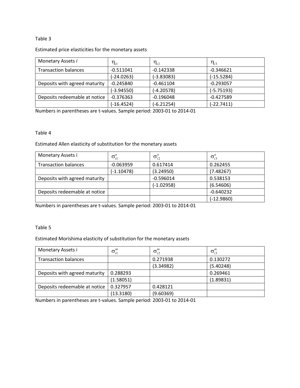# Table 3

# Estimated price elasticities for the monetary assets

| Monetary Assets i             | $\boldsymbol{\eta}_{i1}$ | $\eta_{_{i2}}$ | $\eta_{i3}$  |
|-------------------------------|--------------------------|----------------|--------------|
| <b>Transaction balances</b>   | $-0.511041$              | $-0.142338$    | $-0.346621$  |
|                               | $(-24.0263)$             | $(-3.83083)$   | $(-15.5284)$ |
| Deposits with agreed maturity | $-0.245840$              | $-0.461104$    | $-0.293057$  |
|                               | $(-3.94550)$             | $(-4.20578)$   | $(-5.75193)$ |
| Deposits redeemable at notice | $-0.376363$              | $-0.196048$    | $-0.427589$  |
|                               | $(-16.4524)$             | $(-6.21254)$   | $(-22.7411)$ |

Numbers in parentheses are t-values. Sample period: 2003-01 to 2014-01

# Table 4

Estimated Allen elasticity of substitution for the monetary assets

| Monetary Assets i             | $\sigma_{i1}^a$ | $\sigma_{i2}^a$ | $\sigma_{i3}^a$ |
|-------------------------------|-----------------|-----------------|-----------------|
| <b>Transaction balances</b>   | $-0.063959$     | 0.617414        | 0.262455        |
|                               | $(-1.10478)$    | (3.24950)       | (7.48267)       |
| Deposits with agreed maturity |                 | $-0.596014$     | 0.538153        |
|                               |                 | $(-1.02958)$    | (6.54606)       |
| Deposits redeemable at notice |                 |                 | $-0.640232$     |
|                               |                 |                 | $(-12.9860)$    |

Numbers in parentheses are t-values. Sample period: 2003-01 to 2014-01

# Table 5

# Estimated Morishima elasticity of substitution for the monetary assets

| Monetary Assets i             | $\sigma_{i1}^m$ | $\sigma_{i2}^m$ | $\sigma_i^m$ |
|-------------------------------|-----------------|-----------------|--------------|
| <b>Transaction balances</b>   |                 | 0.271938        | 0.130272     |
|                               |                 | (3.34982)       | (5.40248)    |
| Deposits with agreed maturity | 0.288293        |                 | 0.269461     |
|                               | (1.58051)       |                 | (1.89831)    |
| Deposits redeemable at notice | 0.327957        | 0.428121        |              |
|                               | (13.3180)       | (9.60369)       |              |

Numbers in parentheses are t-values. Sample period: 2003-01 to 2014-01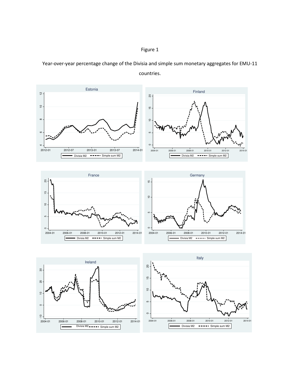



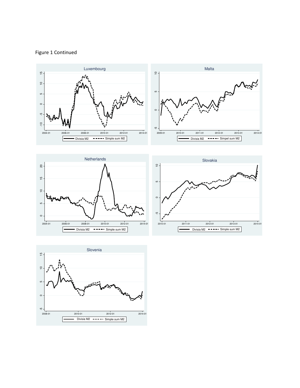# Figure 1 Continued







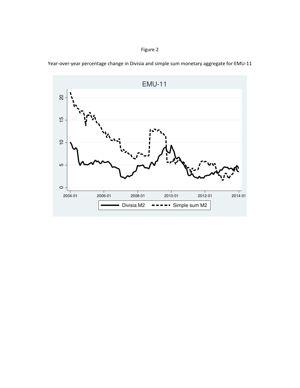EMU-11 $\overline{c}$  10 15 20  $\frac{1}{2}$  $\overline{C}$ 5  $\circ$ 2004-01 2006-01 2008-01 2010-01 2012-01 2014-01 Divisia M2  $-$  -  $-$  Simple sum M2

Year-over-year percentage change in Divisia and simple sum monetary aggregate for EMU-11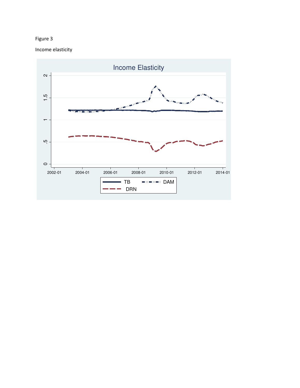Income elasticity

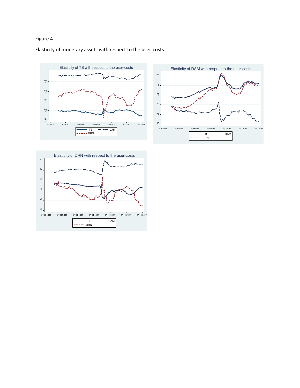# Elasticity of monetary assets with respect to the user-costs





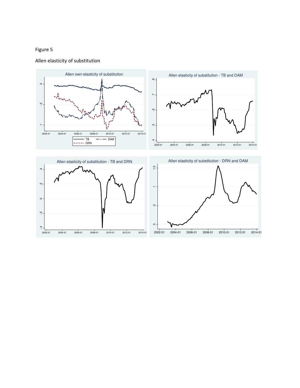# Allen elasticity of substitution

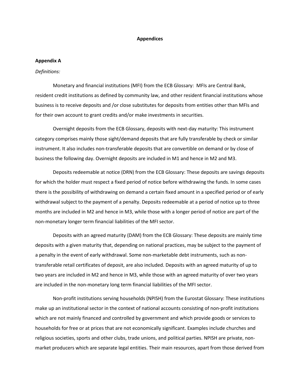#### **Appendices**

#### **Appendix A**

#### *Definitions:*

Monetary and financial institutions (MFI) from the ECB Glossary: MFIs are Central Bank, resident credit institutions as defined by community law, and other resident financial institutions whose business is to receive deposits and /or close substitutes for deposits from entities other than MFIs and for their own account to grant credits and/or make investments in securities.

Overnight deposits from the ECB Glossary, deposits with next-day maturity: This instrument category comprises mainly those sight/demand deposits that are fully transferable by check or similar instrument. It also includes non-transferable deposits that are convertible on demand or by close of business the following day. Overnight deposits are included in M1 and hence in M2 and M3.

Deposits redeemable at notice (DRN) from the ECB Glossary: These deposits are savings deposits for which the holder must respect a fixed period of notice before withdrawing the funds. In some cases there is the possibility of withdrawing on demand a certain fixed amount in a specified period or of early withdrawal subject to the payment of a penalty. Deposits redeemable at a period of notice up to three months are included in M2 and hence in M3, while those with a longer period of notice are part of the non-monetary longer term financial liabilities of the MFI sector.

Deposits with an agreed maturity (DAM) from the ECB Glossary: These deposits are mainly time deposits with a given maturity that, depending on national practices, may be subject to the payment of a penalty in the event of early withdrawal. Some non-marketable debt instruments, such as nontransferable retail certificates of deposit, are also included. Deposits with an agreed maturity of up to two years are included in M2 and hence in M3, while those with an agreed maturity of over two years are included in the non-monetary long term financial liabilities of the MFI sector.

Non-profit institutions serving households (NPISH) from the Eurostat Glossary: These institutions make up an institutional sector in the context of national accounts consisting of non-profit institutions which are not mainly financed and controlled by government and which provide goods or services to households for free or at prices that are not economically significant. Examples include churches and religious societies, sports and other clubs, trade unions, and political parties. NPISH are private, nonmarket producers which are separate legal entities. Their main resources, apart from those derived from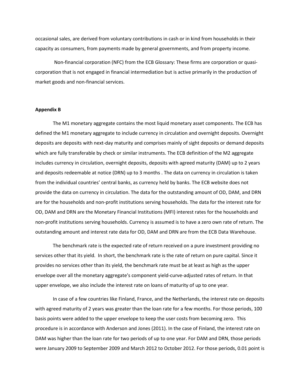occasional sales, are derived from voluntary contributions in cash or in kind from households in their capacity as consumers, from payments made by general governments, and from property income.

 Non-financial corporation (NFC) from the ECB Glossary: These firms are corporation or quasicorporation that is not engaged in financial intermediation but is active primarily in the production of market goods and non-financial services.

#### **Appendix B**

The M1 monetary aggregate contains the most liquid monetary asset components. The ECB has defined the M1 monetary aggregate to include currency in circulation and overnight deposits. Overnight deposits are deposits with next-day maturity and comprises mainly of sight deposits or demand deposits which are fully transferable by check or similar instruments. The ECB definition of the M2 aggregate includes currency in circulation, overnight deposits, deposits with agreed maturity (DAM) up to 2 years and deposits redeemable at notice (DRN) up to 3 months . The data on currency in circulation is taken from the individual countries' central banks, as currency held by banks. The ECB website does not provide the data on currency in circulation. The data for the outstanding amount of OD, DAM, and DRN are for the households and non-profit institutions serving households. The data for the interest rate for OD, DAM and DRN are the Monetary Financial Institutions (MFI) interest rates for the households and non-profit institutions serving households. Currency is assumed is to have a zero own rate of return. The outstanding amount and interest rate data for OD, DAM and DRN are from the ECB Data Warehouse.

The benchmark rate is the expected rate of return received on a pure investment providing no services other that its yield. In short, the benchmark rate is the rate of return on pure capital. Since it provides no services other than its yield, the benchmark rate must be at least as high as the upper envelope over all the monetary aggregate's component yield-curve-adjusted rates of return. In that upper envelope, we also include the interest rate on loans of maturity of up to one year.

In case of a few countries like Finland, France, and the Netherlands, the interest rate on deposits with agreed maturity of 2 years was greater than the loan rate for a few months. For those periods, 100 basis points were added to the upper envelope to keep the user costs from becoming zero. This procedure is in accordance with Anderson and Jones (2011). In the case of Finland, the interest rate on DAM was higher than the loan rate for two periods of up to one year. For DAM and DRN, those periods were January 2009 to September 2009 and March 2012 to October 2012. For those periods, 0.01 point is